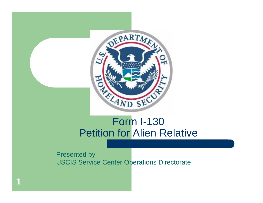

#### Form I-130 Petition for Alien Relative

Presented by USCIS Service Center Operations Directorate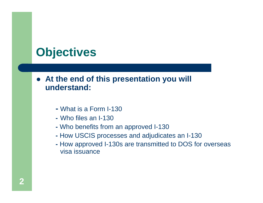# **Objectives**

#### **At the end of this presentation you will understand:**

- **-** What is a Form I-130
- **-** Who files an I-130
- **-** Who benefits from an approved I-130
- **-** How USCIS processes and adjudicates an I-130
- visa issuance **-** How approved I-130s are transmitted to DOS for overseas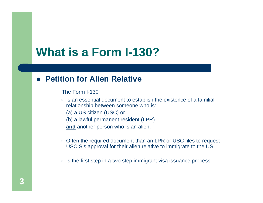# **What is a Form I-130?**

#### **Petition for Alien Relative**

The Form I-130

- $\cdot$  Is an essential document to establish the existence of a familial relationship between someone who is:
	- (a) a US citizen (USC) or
	- (b) a lawful permanent resident (LPR)

**and** another person who is an alien.

- Often the required document than an LPR or USC files to request USCIS's approval for their alien relative to immigrate to the US.
- $\cdot$  Is the first step in a two step immigrant visa issuance process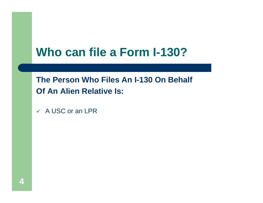# **Who can file a Form I-130?**

**The Person Who Files An I-130 On Behalf Of An Alien Relative Is:** 

 $\checkmark$  A USC or an LPR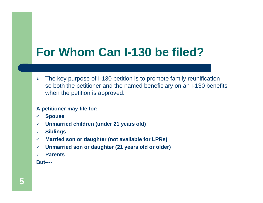# **For Whom Can I-130 be filed?**

 $\blacktriangleright$  The key purpose of I-130 petition is to promote family reunification – so both the petitioner and the named beneficiary on an I-130 benefits when the petition is approved.

#### **A petitioner may file for:**

- $\checkmark$ **Spouse**
- $\checkmark$ **Unmarried children (under 21 years old)**
- $\checkmark$ **Siblings**
- $\checkmark$ **Married son or daughter (not available for LPRs)**
- $\checkmark$ **Unmarried son or daughter (21 years old or older)**
- $\checkmark$ **Parents**

**But----**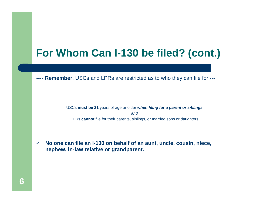## **For Whom Can I-130 be filed? (cont.)**

---- **Remember**, USCs and LPRs are restricted as to who they can file for ---

USCs **must be 21** years of age or older *when filing for a parent or siblings and* LPRs **cannot** file for their parents, siblings, or married sons or daughters

 $\checkmark$  **No one can file an I-130 on behalf of an aunt, uncle, cousin, niece, nephew, in-law relative or grandparent.**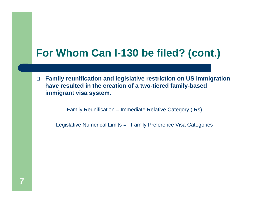## **For Whom Can I-130 be filed? (cont.)**

 $\Box$  **Family reunification and legislative restriction on US immigration have resulted in the creation of a two-tiered family-based immigrant visa system.** 

Family Reunification = Immediate Relative Category (IRs)

Legislative Numerical Limits = Family Preference Visa Categories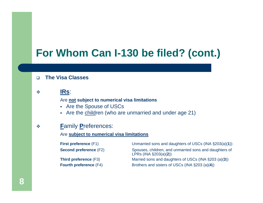## **For Whom Can I-130 be filed? (cont.)**

#### $\Box$ **The Visa Classes**

 $\mathbf{e}^{\mathbf{e}}_{\mathbf{e}}$ **IRs**:

Are **not subject to numerical visa limitations** 

- Are the Spouse of USCs
- Are the children (who are unmarried and under age 21)

#### $\mathbf{e}^{\mathbf{e}}_{\mathbf{e}}$ **F**amily **P**references:

#### Are **subject to numerical visa limitations**

| <b>First preference (F1)</b>  | Unmarried sons and daughters of USCs (INA §203(a)(1))                               |
|-------------------------------|-------------------------------------------------------------------------------------|
| <b>Second preference (F2)</b> | Spouses, children, and unmarried sons and daughters of<br>LPRs (INA $\S203(a)(2)$ ) |
| <b>Third preference (F3)</b>  | Married sons and daughters of USCs (INA §203 (a)(3))                                |
| <b>Fourth preference (F4)</b> | Brothers and sisters of USCs (INA §203 (a)(4))                                      |

**8**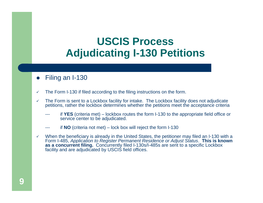#### $\bullet$ Filing an I-130

- $\checkmark$ The Form I-130 if filed according to the filing instructions on the form.
- $\checkmark$  The Form is sent to a Lockbox facility for intake. The Lockbox facility does not adjudicate petitions, rather the lockbox determines whether the petitions meet the acceptance criteria
	- -- if **YES** (criteria met) – lockbox routes the form I-130 to the appropriate field office or service center to be adjudicated.
	- --if **NO** (criteria not met) – lock box will reject the form I-130
- $\checkmark$  When the beneficiary is already in the United States, the petitioner may filed an I-130 with a Form I-485, *Application to Register Permanent Residence or Adjust Status*. **This is known as a concurrent filing.** Concurrently filed I-130s/I-485s are sent to a specific Lockbox facility and are adjudicated by USCIS field offices.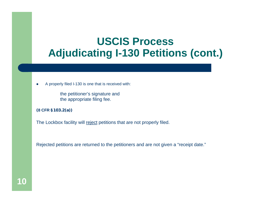- $\bullet$  A properly filed I-130 is one that is received with:
	- the petitioner's signature and the appropriate filing fee.
- **(8 CFR §103.2(a))**

The Lockbox facility will reject petitions that are not properly filed.

Rejected petitions are returned to the petitioners and are not given a "receipt date."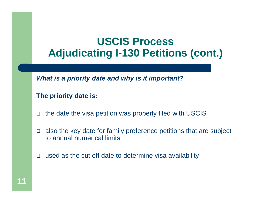*What is a priority date and why is it important?* 

#### **The priority date is:**

- $\Box$ the date the visa petition was properly filed with USCIS
- $\Box$  also the key date for family preference petitions that are subject to annual numerical limits
- $\Box$ used as the cut off date to determine visa availability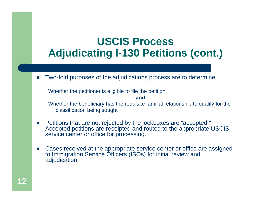$\bullet$ Two-fold purposes of the adjudications process are to determine:

Whether the petitioner is eligible to file the petition

Whether the beneficiary has the requisite familial relationship to qualify for the classification being sought

**and** 

- Petitions that are not rejected by the lockboxes are "accepted." Accepted petitions are receipted and routed to the appropriate USCIS service center or office for processing.
- $\bullet$  Cases received at the appropriate service center or office are assigned to Immigration Service Officers (ISOs) for initial review and adjudication.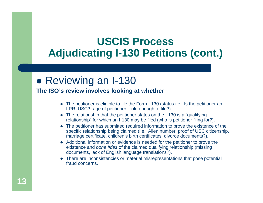#### • Reviewing an I-130

#### **The ISO's review involves looking at whether**:

- The petitioner is eligible to file the Form I-130 (status i.e., Is the petitioner an LPR, USC?- age of petitioner – old enough to file?).
- The relationship that the petitioner states on the I-130 is a "qualifying relationship" for which an I-130 may be filed (who is petitioner filing for?).
- The petitioner has submitted required information to prove the existence of the specific relationship being claimed (i.e., Alien number, proof of USC citizenship, marriage certificate, children's birth certificates, divorce documents?).
- Additional information or evidence is needed for the petitioner to prove the existence and *bona fides* of the claimed qualifying relationship (missing documents, lack of English language translations?).
- There are inconsistencies or material misrepresentations that pose potential fraud concerns.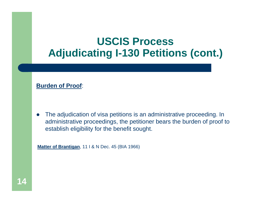#### **Burden of Proof**:

 $\bullet$  The adjudication of visa petitions is an administrative proceeding. In administrative proceedings, the petitioner bears the burden of proof to establish eligibility for the benefit sought.

**Matter of Brantigan**, 11 I & N Dec. 45 (BIA 1966)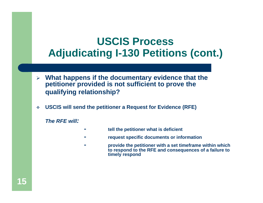- **What happens if the documentary evidence that the petitioner provided is not sufficient to prove the qualifying relationship?**
- $\mathcal{L}_{\mathcal{S}}$ **USCIS will send the petitioner a Request for Evidence (RFE)**

*The RFE will:* 

- **tell the petitioner what is deficient**
- **request specific documents or information**
- **provide the petitioner with a set timeframe within which to respond to the RFE and consequences of a failure to timely respond**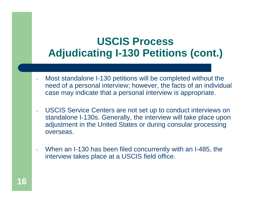- Most standalone I-130 petitions will be completed without the need of a personal interview; however, the facts of an individual case may indicate that a personal interview is appropriate.
- - USCIS Service Centers are not set up to conduct interviews on standalone I-130s. Generally, the interview will take place upon adjustment in the United States or during consular processing overseas.
- - When an I-130 has been filed concurrently with an I-485, the interview takes place at a USCIS field office.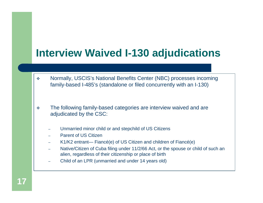## **Interview Waived I-130 adjudications**

- $\sigma_{\rm eff}^{\rm R}$  Normally, USCIS's National Benefits Center (NBC) processes incoming family-based I-485's (standalone or filed concurrently with an I-130)
- $\mathbf{v}_\mathrm{g}^{\mathrm{R}}$  The following family-based categories are interview waived and are adjudicated by the CSC:
	- Unmarried minor child or and stepchild of US Citizens
	- Parent of US Citizen
	- K1/K2 entrant— Fiancé(e) of US Citizen and children of Fiancé(e)
	- Native/Citizen of Cuba filing under 11/2/66 Act, or the spouse or child of such an alien, regardless of their citizenship or place of birth
	- Child of an LPR (unmarried and under 14 years old)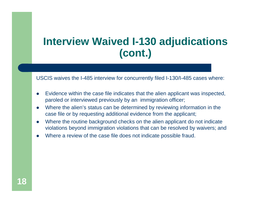### **Interview Waived I-130 adjudications (cont.)**

USCIS waives the I-485 interview for concurrently filed I-130/I-485 cases where:

- 0 Evidence within the case file indicates that the alien applicant was inspected, paroled or interviewed previously by an immigration officer;
- $\bullet$  Where the alien's status can be determined by reviewing information in the case file or by requesting additional evidence from the applicant;
- $\bullet$  Where the routine background checks on the alien applicant do not indicate violations beyond immigration violations that can be resolved by waivers; and
- 0 Where a review of the case file does not indicate possible fraud.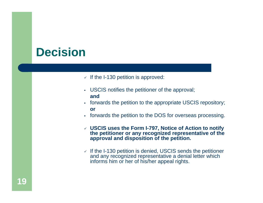# **Decision**

- $\sqrt{1}$  If the I-130 petition is approved:
- USCIS notifies the petitioner of the approval; **and**
- $\mathbf{r}$  forwards the petition to the appropriate USCIS repository; **or**
- forwards the petition to the DOS for overseas processing.
- **USCIS uses the Form I-797, Notice of Action to notify the petitioner or any recognized representative of the approval and disposition of the petition.**
- $\checkmark$  If the I-130 petition is denied, USCIS sends the petitioner and any recognized representative a denial letter which informs him or her of his/her appeal rights.